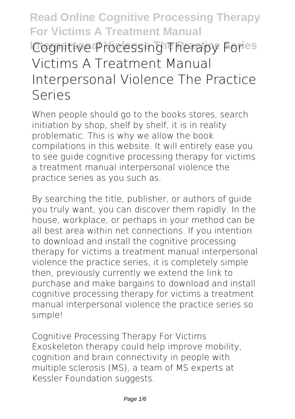# **Read Online Cognitive Processing Therapy For Victims A Treatment Manual Cognitive Processing Therapy Fores Victims A Treatment Manual Interpersonal Violence The Practice Series**

When people should go to the books stores, search initiation by shop, shelf by shelf, it is in reality problematic. This is why we allow the book compilations in this website. It will entirely ease you to see guide **cognitive processing therapy for victims a treatment manual interpersonal violence the practice series** as you such as.

By searching the title, publisher, or authors of guide you truly want, you can discover them rapidly. In the house, workplace, or perhaps in your method can be all best area within net connections. If you intention to download and install the cognitive processing therapy for victims a treatment manual interpersonal violence the practice series, it is completely simple then, previously currently we extend the link to purchase and make bargains to download and install cognitive processing therapy for victims a treatment manual interpersonal violence the practice series so simple!

Cognitive Processing Therapy For Victims Exoskeleton therapy could help improve mobility, cognition and brain connectivity in people with multiple sclerosis (MS), a team of MS experts at Kessler Foundation suggests.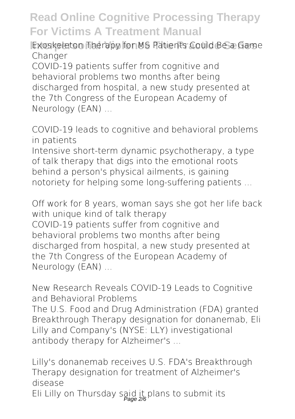**Exoskeleton Therapy for MS Patients Could Be a Game** Changer

COVID-19 patients suffer from cognitive and behavioral problems two months after being discharged from hospital, a new study presented at the 7th Congress of the European Academy of Neurology (EAN) ...

COVID-19 leads to cognitive and behavioral problems in patients

Intensive short-term dynamic psychotherapy, a type of talk therapy that digs into the emotional roots behind a person's physical ailments, is gaining notoriety for helping some long-suffering patients ...

Off work for 8 years, woman says she got her life back with unique kind of talk therapy COVID-19 patients suffer from cognitive and behavioral problems two months after being discharged from hospital, a new study presented at the 7th Congress of the European Academy of Neurology (EAN) ...

New Research Reveals COVID-19 Leads to Cognitive and Behavioral Problems The U.S. Food and Drug Administration (FDA) granted Breakthrough Therapy designation for donanemab, Eli Lilly and Company's (NYSE: LLY) investigational antibody therapy for Alzheimer's ...

Lilly's donanemab receives U.S. FDA's Breakthrough Therapy designation for treatment of Alzheimer's disease

Eli Lilly on Thursday said it plans to submit its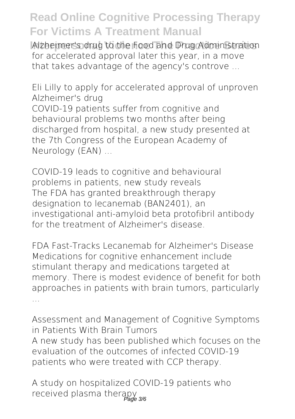**Interpersonal Violence The Practice Series** Alzheimer's drug to the Food and Drug Administration for accelerated approval later this year, in a move that takes advantage of the agency's controve ...

Eli Lilly to apply for accelerated approval of unproven Alzheimer's drug COVID-19 patients suffer from cognitive and behavioural problems two months after being discharged from hospital, a new study presented at the 7th Congress of the European Academy of Neurology (EAN) ...

COVID-19 leads to cognitive and behavioural problems in patients, new study reveals The FDA has granted breakthrough therapy designation to lecanemab (BAN2401), an investigational anti-amyloid beta protofibril antibody for the treatment of Alzheimer's disease.

FDA Fast-Tracks Lecanemab for Alzheimer's Disease Medications for cognitive enhancement include stimulant therapy and medications targeted at memory. There is modest evidence of benefit for both approaches in patients with brain tumors, particularly ...

Assessment and Management of Cognitive Symptoms in Patients With Brain Tumors A new study has been published which focuses on the evaluation of the outcomes of infected COVID-19 patients who were treated with CCP therapy.

A study on hospitalized COVID-19 patients who received plasma therapy<br>age 3/6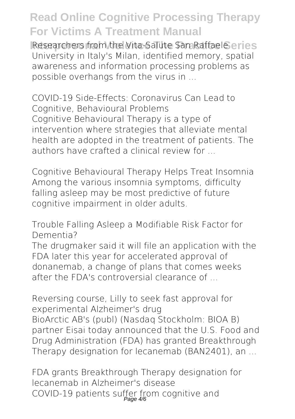**Interpersional Interpersonal Practice Series** Researchers from the Vita-Salute San Raffaele Geries University in Italy's Milan, identified memory, spatial awareness and information processing problems as possible overhangs from the virus in ...

COVID-19 Side-Effects: Coronavirus Can Lead to Cognitive, Behavioural Problems Cognitive Behavioural Therapy is a type of intervention where strategies that alleviate mental health are adopted in the treatment of patients. The authors have crafted a clinical review for ...

Cognitive Behavioural Therapy Helps Treat Insomnia Among the various insomnia symptoms, difficulty falling asleep may be most predictive of future cognitive impairment in older adults.

Trouble Falling Asleep a Modifiable Risk Factor for Dementia?

The drugmaker said it will file an application with the FDA later this year for accelerated approval of donanemab, a change of plans that comes weeks after the FDA's controversial clearance of ...

Reversing course, Lilly to seek fast approval for experimental Alzheimer's drug BioArctic AB's (publ) (Nasdaq Stockholm: BIOA B) partner Eisai today announced that the U.S. Food and Drug Administration (FDA) has granted Breakthrough Therapy designation for lecanemab (BAN2401), an ...

FDA grants Breakthrough Therapy designation for lecanemab in Alzheimer's disease COVID-19 patients suffer from cognitive and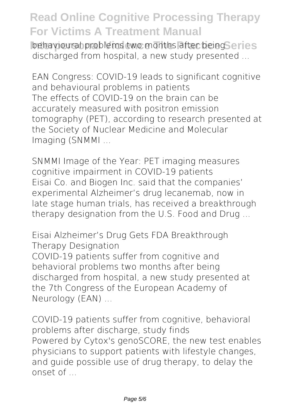**Interpersonal behaviour Interpersonal Violet Series** behavioural problems two months after being Series discharged from hospital, a new study presented ...

EAN Congress: COVID-19 leads to significant cognitive and behavioural problems in patients The effects of COVID-19 on the brain can be accurately measured with positron emission tomography (PET), according to research presented at the Society of Nuclear Medicine and Molecular Imaging (SNMMI ...

SNMMI Image of the Year: PET imaging measures cognitive impairment in COVID-19 patients Eisai Co. and Biogen Inc. said that the companies' experimental Alzheimer's drug lecanemab, now in late stage human trials, has received a breakthrough therapy designation from the U.S. Food and Drug ...

Eisai Alzheimer's Drug Gets FDA Breakthrough Therapy Designation COVID-19 patients suffer from cognitive and behavioral problems two months after being discharged from hospital, a new study presented at the 7th Congress of the European Academy of Neurology (EAN) ...

COVID-19 patients suffer from cognitive, behavioral problems after discharge, study finds Powered by Cytox's genoSCORE, the new test enables physicians to support patients with lifestyle changes, and guide possible use of drug therapy, to delay the onset of ...